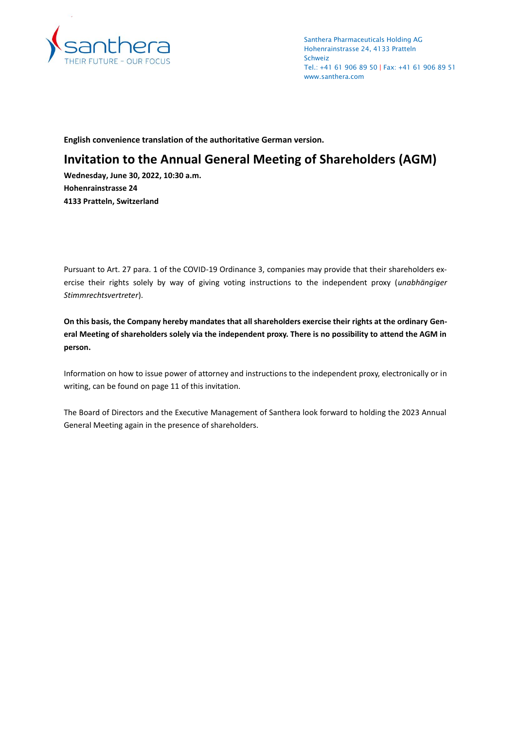

Santhera Pharmaceuticals Holding AG Hohenrainstrasse 24, 4133 Pratteln Schweiz Tel.: +41 61 906 89 50 | Fax: +41 61 906 89 51 www.santhera.com

**English convenience translation of the authoritative German version.**

# **Invitation to the Annual General Meeting of Shareholders (AGM)**

**Wednesday, June 30, 2022, 10:30 a.m. Hohenrainstrasse 24 4133 Pratteln, Switzerland**

Pursuant to Art. 27 para. 1 of the COVID-19 Ordinance 3, companies may provide that their shareholders exercise their rights solely by way of giving voting instructions to the independent proxy (*unabhängiger Stimmrechtsvertreter*).

**On this basis, the Company hereby mandates that all shareholders exercise their rights at the ordinary General Meeting of shareholders solely via the independent proxy. There is no possibility to attend the AGM in person.**

Information on how to issue power of attorney and instructions to the independent proxy, electronically or in writing, can be found on page 11 of this invitation.

The Board of Directors and the Executive Management of Santhera look forward to holding the 2023 Annual General Meeting again in the presence of shareholders.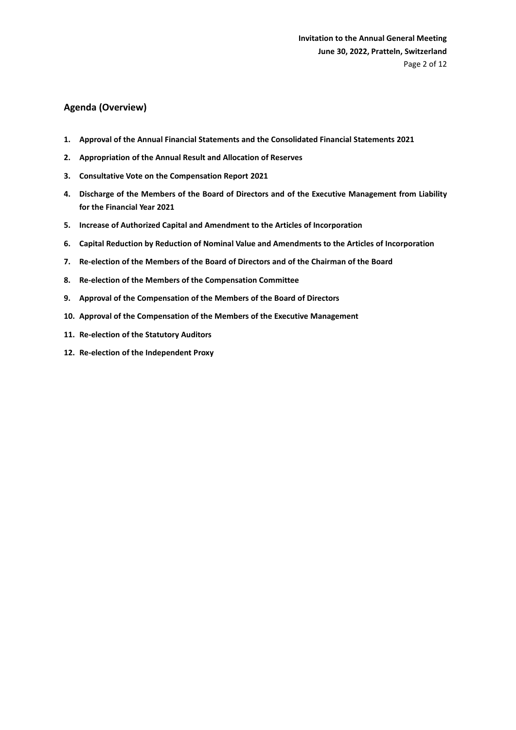# **Agenda (Overview)**

- **1. Approval of the Annual Financial Statements and the Consolidated Financial Statements 2021**
- **2. Appropriation of the Annual Result and Allocation of Reserves**
- **3. Consultative Vote on the Compensation Report 2021**
- **4. Discharge of the Members of the Board of Directors and of the Executive Management from Liability for the Financial Year 2021**
- **5. Increase of Authorized Capital and Amendment to the Articles of Incorporation**
- **6. Capital Reduction by Reduction of Nominal Value and Amendments to the Articles of Incorporation**
- **7. Re-election of the Members of the Board of Directors and of the Chairman of the Board**
- **8. Re-election of the Members of the Compensation Committee**
- **9. Approval of the Compensation of the Members of the Board of Directors**
- **10. Approval of the Compensation of the Members of the Executive Management**
- **11. Re-election of the Statutory Auditors**
- **12. Re-election of the Independent Proxy**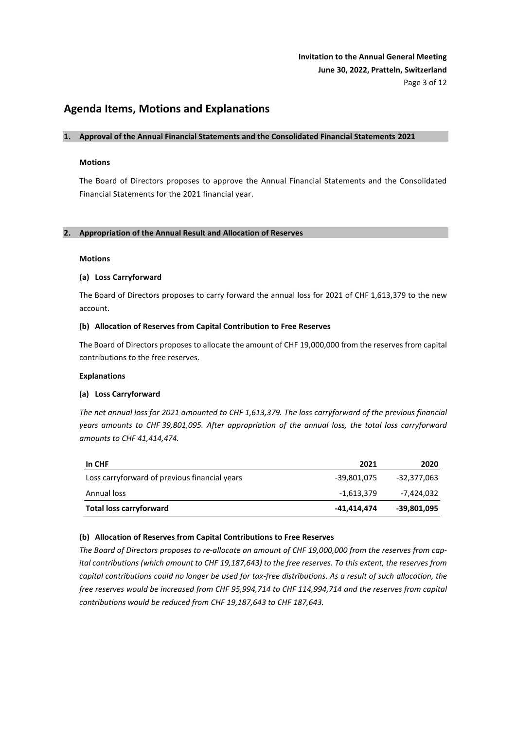# **Invitation to the Annual General Meeting June 30, 2022, Pratteln, Switzerland** Page 3 of 12

# **Agenda Items, Motions and Explanations**

# **1. Approval of the Annual Financial Statements and the Consolidated Financial Statements 2021**

# **Motions**

The Board of Directors proposes to approve the Annual Financial Statements and the Consolidated Financial Statements for the 2021 financial year.

# **2. Appropriation of the Annual Result and Allocation of Reserves**

# **Motions**

# **(a) Loss Carryforward**

The Board of Directors proposes to carry forward the annual loss for 2021 of CHF 1,613,379 to the new account.

# **(b) Allocation of Reserves from Capital Contribution to Free Reserves**

The Board of Directors proposes to allocate the amount of CHF 19,000,000 from the reserves from capital contributions to the free reserves.

# **Explanations**

# **(a) Loss Carryforward**

*The net annual loss for 2021 amounted to CHF 1,613,379. The loss carryforward of the previous financial years amounts to CHF 39,801,095. After appropriation of the annual loss, the total loss carryforward amounts to CHF 41,414,474.*

| In CHF                                        | 2021        | 2020        |
|-----------------------------------------------|-------------|-------------|
| Loss carryforward of previous financial years | -39,801,075 | -32,377,063 |
| Annual loss                                   | -1,613,379  | -7,424,032  |
| Total loss carryforward                       | -41,414,474 | -39,801,095 |

# **(b) Allocation of Reserves from Capital Contributions to Free Reserves**

*The Board of Directors proposes to re-allocate an amount of CHF 19,000,000 from the reserves from capital contributions (which amount to CHF 19,187,643) to the free reserves. To this extent, the reserves from capital contributions could no longer be used for tax-free distributions. As a result of such allocation, the free reserves would be increased from CHF 95,994,714 to CHF 114,994,714 and the reserves from capital contributions would be reduced from CHF 19,187,643 to CHF 187,643.*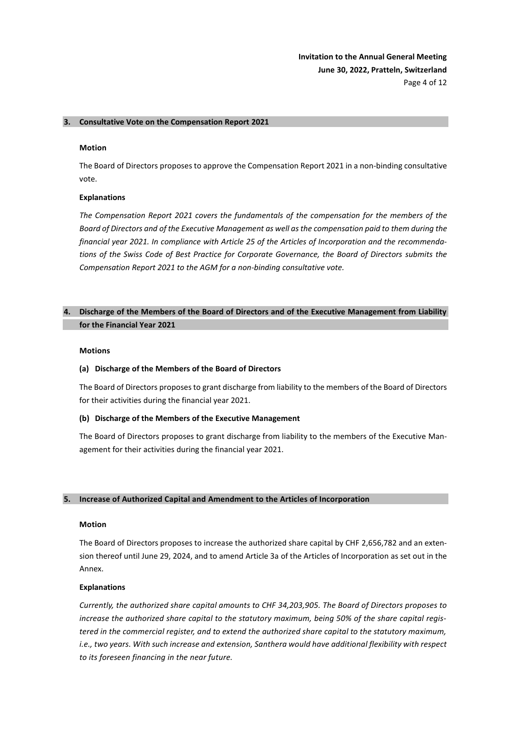**Invitation to the Annual General Meeting June 30, 2022, Pratteln, Switzerland** Page 4 of 12

# **3. Consultative Vote on the Compensation Report 2021**

#### **Motion**

The Board of Directors proposes to approve the Compensation Report 2021 in a non-binding consultative vote.

#### **Explanations**

*The Compensation Report 2021 covers the fundamentals of the compensation for the members of the Board of Directors and of the Executive Management as well as the compensation paid to them during the financial year 2021. In compliance with Article 25 of the Articles of Incorporation and the recommendations of the Swiss Code of Best Practice for Corporate Governance, the Board of Directors submits the Compensation Report 2021 to the AGM for a non-binding consultative vote.*

# **4. Discharge of the Members of the Board of Directors and of the Executive Management from Liability for the Financial Year 2021**

#### **Motions**

#### **(a) Discharge of the Members of the Board of Directors**

The Board of Directors proposes to grant discharge from liability to the members of the Board of Directors for their activities during the financial year 2021.

#### **(b) Discharge of the Members of the Executive Management**

The Board of Directors proposes to grant discharge from liability to the members of the Executive Management for their activities during the financial year 2021.

# **5. Increase of Authorized Capital and Amendment to the Articles of Incorporation**

#### **Motion**

The Board of Directors proposes to increase the authorized share capital by CHF 2,656,782 and an extension thereof until June 29, 2024, and to amend Article 3a of the Articles of Incorporation as set out in the Annex.

#### **Explanations**

*Currently, the authorized share capital amounts to CHF 34,203,905. The Board of Directors proposes to increase the authorized share capital to the statutory maximum, being 50% of the share capital registered in the commercial register, and to extend the authorized share capital to the statutory maximum, i.e., two years. With such increase and extension, Santhera would have additional flexibility with respect to its foreseen financing in the near future.*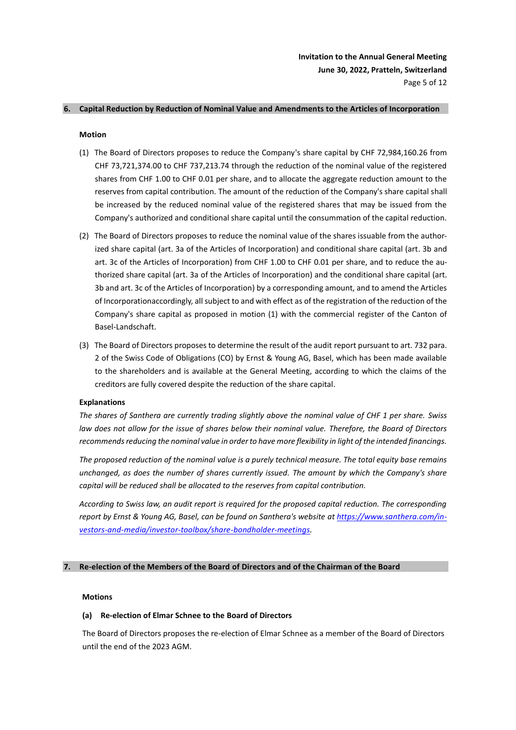#### **6. Capital Reduction by Reduction of Nominal Value and Amendments to the Articles of Incorporation**

#### **Motion**

- (1) The Board of Directors proposes to reduce the Company's share capital by CHF 72,984,160.26 from CHF 73,721,374.00 to CHF 737,213.74 through the reduction of the nominal value of the registered shares from CHF 1.00 to CHF 0.01 per share, and to allocate the aggregate reduction amount to the reserves from capital contribution. The amount of the reduction of the Company's share capital shall be increased by the reduced nominal value of the registered shares that may be issued from the Company's authorized and conditional share capital until the consummation of the capital reduction.
- (2) The Board of Directors proposes to reduce the nominal value of the shares issuable from the authorized share capital (art. 3a of the Articles of Incorporation) and conditional share capital (art. 3b and art. 3c of the Articles of Incorporation) from CHF 1.00 to CHF 0.01 per share, and to reduce the authorized share capital (art. 3a of the Articles of Incorporation) and the conditional share capital (art. 3b and art. 3c of the Articles of Incorporation) by a corresponding amount, and to amend the Articles of Incorporationaccordingly, all subject to and with effect as of the registration of the reduction of the Company's share capital as proposed in motion (1) with the commercial register of the Canton of Basel-Landschaft.
- (3) The Board of Directors proposes to determine the result of the audit report pursuant to art. 732 para. 2 of the Swiss Code of Obligations (CO) by Ernst & Young AG, Basel, which has been made available to the shareholders and is available at the General Meeting, according to which the claims of the creditors are fully covered despite the reduction of the share capital.

#### **Explanations**

*The shares of Santhera are currently trading slightly above the nominal value of CHF 1 per share. Swiss law does not allow for the issue of shares below their nominal value. Therefore, the Board of Directors recommends reducing the nominal value in order to have more flexibility in light of the intended financings.*

*The proposed reduction of the nominal value is a purely technical measure. The total equity base remains unchanged, as does the number of shares currently issued. The amount by which the Company's share capital will be reduced shall be allocated to the reserves from capital contribution.*

*According to Swiss law, an audit report is required for the proposed capital reduction. The corresponding report by Ernst & Young AG, Basel, can be found on Santhera's website at [https://www.santhera.com/in](https://www.santhera.com/investors-and-media/investor-toolbox/share-bondholder-meetings)[vestors-and-media/investor-toolbox/share-bondholder-meetings.](https://www.santhera.com/investors-and-media/investor-toolbox/share-bondholder-meetings)*

# **7. Re-election of the Members of the Board of Directors and of the Chairman of the Board**

#### **Motions**

#### **(a) Re-election of Elmar Schnee to the Board of Directors**

The Board of Directors proposes the re-election of Elmar Schnee as a member of the Board of Directors until the end of the 2023 AGM.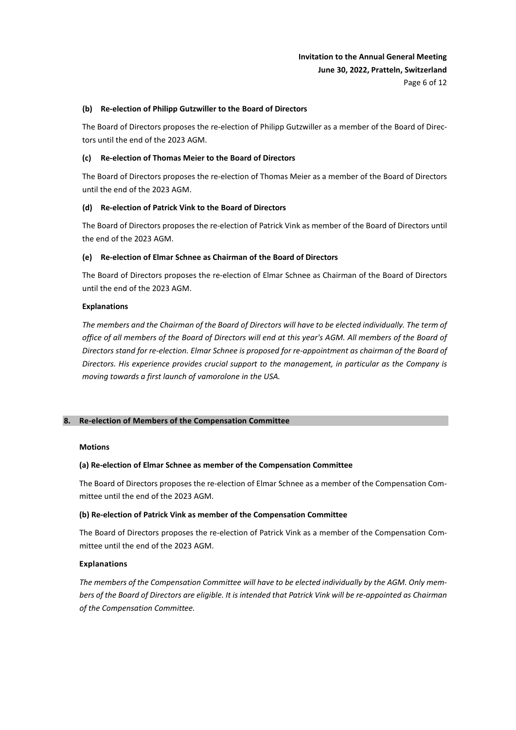# **Invitation to the Annual General Meeting June 30, 2022, Pratteln, Switzerland**

#### Page 6 of 12

# **(b) Re-election of Philipp Gutzwiller to the Board of Directors**

The Board of Directors proposes the re-election of Philipp Gutzwiller as a member of the Board of Directors until the end of the 2023 AGM.

# **(c) Re-election of Thomas Meier to the Board of Directors**

The Board of Directors proposes the re-election of Thomas Meier as a member of the Board of Directors until the end of the 2023 AGM.

# **(d) Re-election of Patrick Vink to the Board of Directors**

The Board of Directors proposes the re-election of Patrick Vink as member of the Board of Directors until the end of the 2023 AGM.

# **(e) Re-election of Elmar Schnee as Chairman of the Board of Directors**

The Board of Directors proposes the re-election of Elmar Schnee as Chairman of the Board of Directors until the end of the 2023 AGM.

# **Explanations**

*The members and the Chairman of the Board of Directors will have to be elected individually. The term of office of all members of the Board of Directors will end at this year's AGM. All members of the Board of Directors stand for re-election. Elmar Schnee is proposed for re-appointment as chairman of the Board of Directors. His experience provides crucial support to the management, in particular as the Company is moving towards a first launch of vamorolone in the USA.*

# **8. Re-election of Members of the Compensation Committee**

#### **Motions**

# **(a) Re-election of Elmar Schnee as member of the Compensation Committee**

The Board of Directors proposes the re-election of Elmar Schnee as a member of the Compensation Committee until the end of the 2023 AGM.

#### **(b) Re-election of Patrick Vink as member of the Compensation Committee**

The Board of Directors proposes the re-election of Patrick Vink as a member of the Compensation Committee until the end of the 2023 AGM.

#### **Explanations**

*The members of the Compensation Committee will have to be elected individually by the AGM. Only members of the Board of Directors are eligible. It is intended that Patrick Vink will be re-appointed as Chairman of the Compensation Committee.*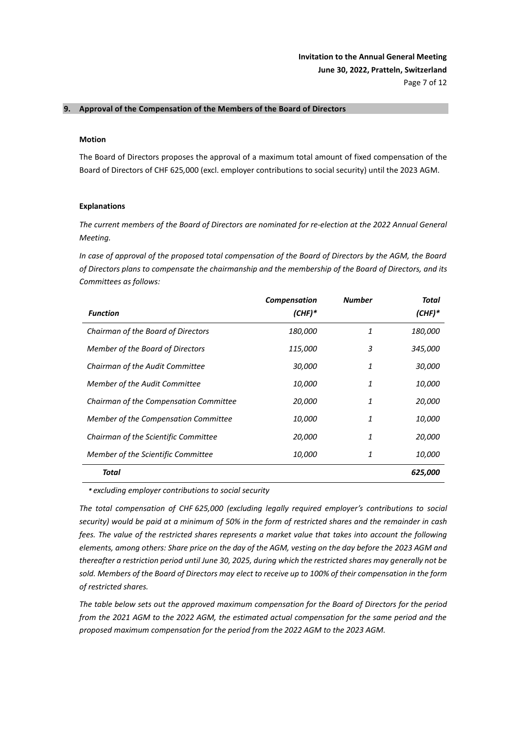# **9. Approval of the Compensation of the Members of the Board of Directors**

# **Motion**

The Board of Directors proposes the approval of a maximum total amount of fixed compensation of the Board of Directors of CHF 625*,*000 (excl. employer contributions to social security) until the 2023 AGM.

#### **Explanations**

*The current members of the Board of Directors are nominated for re-election at the 2022 Annual General Meeting.* 

*In case of approval of the proposed total compensation of the Board of Directors by the AGM, the Board of Directors plans to compensate the chairmanship and the membership of the Board of Directors, and its Committees as follows:*

|                                        | <b>Compensation</b> | <b>Number</b> | Total          |
|----------------------------------------|---------------------|---------------|----------------|
| <b>Function</b>                        | $(CHF)^*$           |               | $(CHF)^*$      |
| Chairman of the Board of Directors     | <i>180,000</i>      | 1             | <i>180,000</i> |
| Member of the Board of Directors       | 115,000             | 3             | 345,000        |
| Chairman of the Audit Committee        | 30,000              | 1             | 30,000         |
| Member of the Audit Committee          | <i>10,000</i>       | 1             | <i>10,000</i>  |
| Chairman of the Compensation Committee | <i>20,000</i>       | 1             | 20,000         |
| Member of the Compensation Committee   | <i>10,000</i>       | 1             | <i>10,000</i>  |
| Chairman of the Scientific Committee   | <i>20,000</i>       | 1             | 20,000         |
| Member of the Scientific Committee     | <i>10,000</i>       | 1             | <i>10,000</i>  |
| Total                                  |                     |               | 625,000        |

*\* excluding employer contributions to social security*

*The total compensation of CHF 625,000 (excluding legally required employer's contributions to social security) would be paid at a minimum of 50% in the form of restricted shares and the remainder in cash fees. The value of the restricted shares represents a market value that takes into account the following elements, among others: Share price on the day of the AGM, vesting on the day before the 2023 AGM and thereafter a restriction period until June 30, 2025, during which the restricted shares may generally not be sold. Members of the Board of Directors may elect to receive up to 100% of their compensation in the form of restricted shares.*

*The table below sets out the approved maximum compensation for the Board of Directors for the period from the 2021 AGM to the 2022 AGM, the estimated actual compensation for the same period and the proposed maximum compensation for the period from the 2022 AGM to the 2023 AGM.*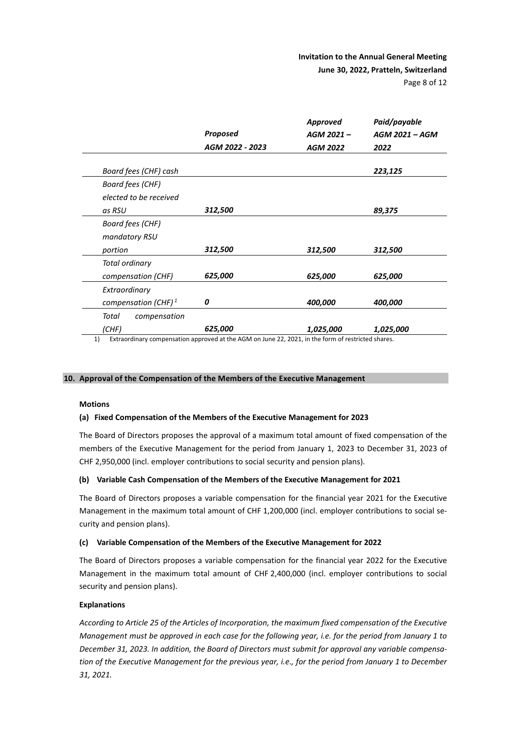|                         |                                    | <b>Approved</b>              | Paid/payable                  |
|-------------------------|------------------------------------|------------------------------|-------------------------------|
|                         | <b>Proposed</b><br>AGM 2022 - 2023 | AGM 2021-<br><b>AGM 2022</b> | <b>AGM 2021 - AGM</b><br>2022 |
|                         |                                    |                              |                               |
| Board fees (CHF) cash   |                                    |                              | 223,125                       |
| Board fees (CHF)        |                                    |                              |                               |
| elected to be received  |                                    |                              |                               |
| as RSU                  | 312,500                            |                              | 89,375                        |
| <b>Board fees (CHF)</b> |                                    |                              |                               |
| mandatory RSU           |                                    |                              |                               |
| portion                 | 312,500                            | 312,500                      | 312,500                       |
| Total ordinary          |                                    |                              |                               |
| compensation (CHF)      | 625,000                            | 625,000                      | 625,000                       |
| Extraordinary           |                                    |                              |                               |
| compensation (CHF) $1$  | 0                                  | 400,000                      | 400,000                       |
| Total<br>compensation   |                                    |                              |                               |
| (CHF)                   | 625,000                            | 1,025,000                    | 1,025,000                     |

1) Extraordinary compensation approved at the AGM on June 22, 2021, in the form of restricted shares.

#### **10. Approval of the Compensation of the Members of the Executive Management**

# **Motions**

#### **(a) Fixed Compensation of the Members of the Executive Management for 2023**

The Board of Directors proposes the approval of a maximum total amount of fixed compensation of the members of the Executive Management for the period from January 1, 2023 to December 31, 2023 of CHF 2,950,000 (incl. employer contributions to social security and pension plans).

#### **(b) Variable Cash Compensation of the Members of the Executive Management for 2021**

The Board of Directors proposes a variable compensation for the financial year 2021 for the Executive Management in the maximum total amount of CHF 1,200,000 (incl. employer contributions to social security and pension plans).

# **(c) Variable Compensation of the Members of the Executive Management for 2022**

The Board of Directors proposes a variable compensation for the financial year 2022 for the Executive Management in the maximum total amount of CHF 2,400,000 (incl. employer contributions to social security and pension plans).

# **Explanations**

*According to Article 25 of the Articles of Incorporation, the maximum fixed compensation of the Executive Management must be approved in each case for the following year, i.e. for the period from January 1 to December 31, 2023. In addition, the Board of Directors must submit for approval any variable compensation of the Executive Management for the previous year, i.e., for the period from January 1 to December 31, 2021.*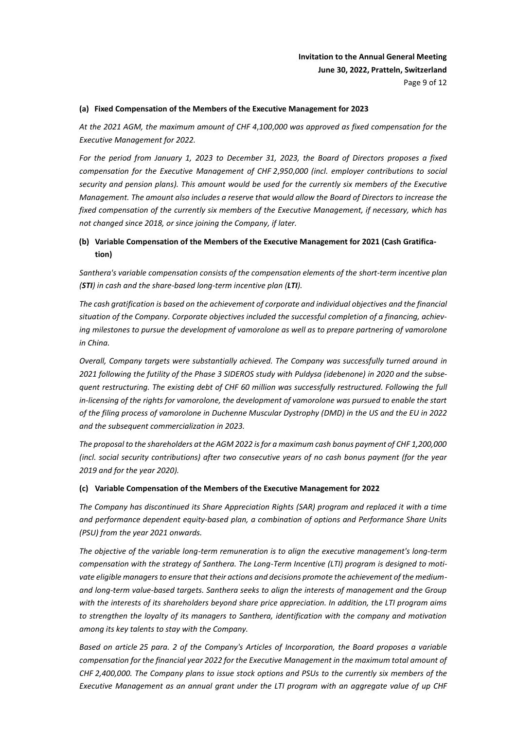**Invitation to the Annual General Meeting June 30, 2022, Pratteln, Switzerland** Page 9 of 12

# **(a) Fixed Compensation of the Members of the Executive Management for 2023**

*At the 2021 AGM, the maximum amount of CHF 4*,*100*,*000 was approved as fixed compensation for the Executive Management for 2022.*

*For the period from January 1, 2023 to December 31, 2023, the Board of Directors proposes a fixed compensation for the Executive Management of CHF 2*,*950*,*000 (incl. employer contributions to social security and pension plans). This amount would be used for the currently six members of the Executive Management. The amount also includes a reserve that would allow the Board of Directors to increase the fixed compensation of the currently six members of the Executive Management, if necessary, which has not changed since 2018, or since joining the Company, if later.*

# **(b) Variable Compensation of the Members of the Executive Management for 2021 (Cash Gratification)**

*Santhera's variable compensation consists of the compensation elements of the short-term incentive plan (STI) in cash and the share-based long-term incentive plan (LTI).*

*The cash gratification is based on the achievement of corporate and individual objectives and the financial situation of the Company. Corporate objectives included the successful completion of a financing, achieving milestones to pursue the development of vamorolone as well as to prepare partnering of vamorolone in China.*

*Overall, Company targets were substantially achieved. The Company was successfully turned around in 2021 following the futility of the Phase 3 SIDEROS study with Puldysa (idebenone) in 2020 and the subsequent restructuring. The existing debt of CHF 60 million was successfully restructured. Following the full in-licensing of the rights for vamorolone, the development of vamorolone was pursued to enable the start of the filing process of vamorolone in Duchenne Muscular Dystrophy (DMD) in the US and the EU in 2022 and the subsequent commercialization in 2023.* 

*The proposal to the shareholders at the AGM 2022 is for a maximum cash bonus payment of CHF 1,200,000 (incl. social security contributions) after two consecutive years of no cash bonus payment (for the year 2019 and for the year 2020).* 

#### **(c) Variable Compensation of the Members of the Executive Management for 2022**

*The Company has discontinued its Share Appreciation Rights (SAR) program and replaced it with a time and performance dependent equity-based plan, a combination of options and Performance Share Units (PSU) from the year 2021 onwards.*

*The objective of the variable long-term remuneration is to align the executive management's long-term* compensation with the strategy of Santhera. The Long-Term Incentive (LTI) program is designed to moti*vate eligible managers to ensure that their actions and decisions promote the achievement of the mediumand long-term value-based targets. Santhera seeks to align the interests of management and the Group with the interests of its shareholders beyond share price appreciation. In addition, the LTI program aims to strengthen the loyalty of its managers to Santhera, identification with the company and motivation among its key talents to stay with the Company.*

*Based on article 25 para. 2 of the Company's Articles of Incorporation, the Board proposes a variable compensation for the financial year 2022 for the Executive Management in the maximum total amount of CHF 2,400,000. The Company plans to issue stock options and PSUs to the currently six members of the Executive Management as an annual grant under the LTI program with an aggregate value of up CHF*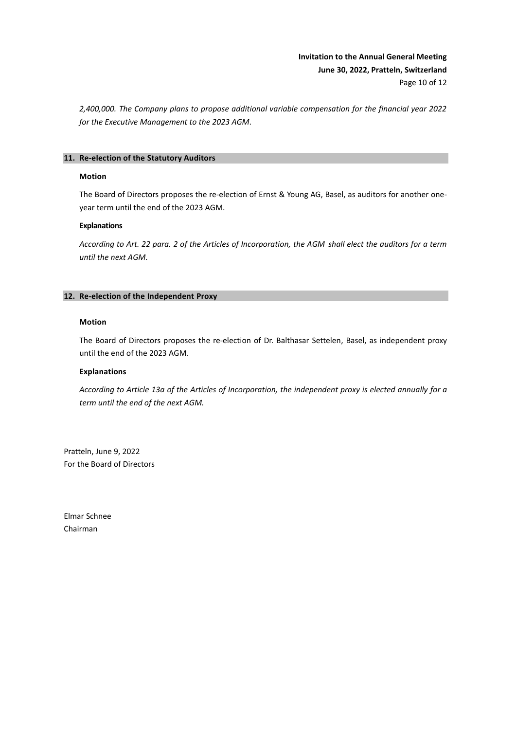# **Invitation to the Annual General Meeting June 30, 2022, Pratteln, Switzerland** Page 10 of 12

*2,400,000. The Company plans to propose additional variable compensation for the financial year 2022 for the Executive Management to the 2023 AGM.*

# **11. Re-election of the Statutory Auditors**

#### **Motion**

The Board of Directors proposes the re-election of Ernst & Young AG, Basel, as auditors for another oneyear term until the end of the 2023 AGM.

# **Explanations**

*According to Art. 22 para. 2 of the Articles of Incorporation, the AGM shall elect the auditors for a term until the next AGM.* 

# **12. Re-election of the Independent Proxy**

# **Motion**

The Board of Directors proposes the re-election of Dr. Balthasar Settelen, Basel, as independent proxy until the end of the 2023 AGM.

# **Explanations**

*According to Article 13a of the Articles of Incorporation, the independent proxy is elected annually for a term until the end of the next AGM.*

Pratteln, June 9, 2022 For the Board of Directors

Elmar Schnee Chairman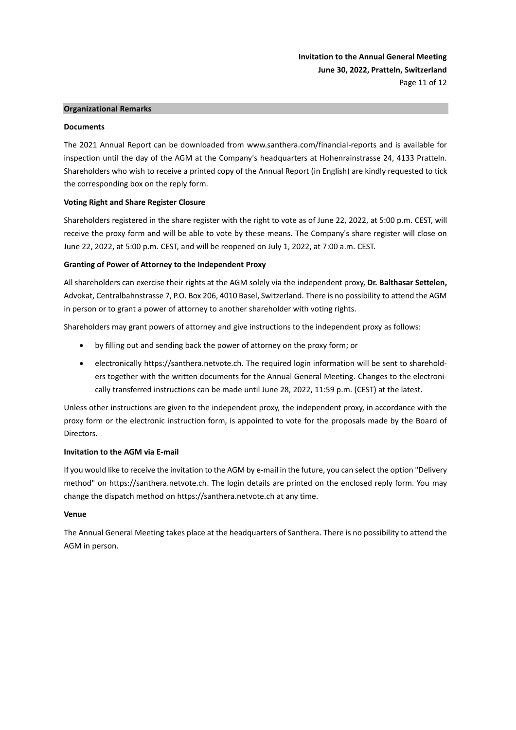**Invitation to the Annual General Meeting June 30, 2022, Pratteln, Switzerland** Page 11 of 12

# **Organizational Remarks**

#### **Documents**

The 2021 Annual Report can be downloaded from www.santhera.com/financial-reports and is available for inspection until the day of the AGM at the Company's headquarters at Hohenrainstrasse 24, 4133 Pratteln. Shareholders who wish to receive a printed copy of the Annual Report (in English) are kindly requested to tick the corresponding box on the reply form.

# **Voting Right and Share Register Closure**

Shareholders registered in the share register with the right to vote as of June 22, 2022, at 5:00 p.m. CEST, will receive the proxy form and will be able to vote by these means. The Company's share register will close on June 22, 2022, at 5:00 p.m. CEST, and will be reopened on July 1, 2022, at 7:00 a.m. CEST.

# **Granting of Power of Attorney to the Independent Proxy**

All shareholders can exercise their rights at the AGM solely via the independent proxy, **Dr. Balthasar Settelen,**  Advokat, Centralbahnstrasse 7, P.O. Box 206, 4010 Basel, Switzerland. There is no possibility to attend the AGM in person or to grant a power of attorney to another shareholder with voting rights.

Shareholders may grant powers of attorney and give instructions to the independent proxy as follows:

- by filling out and sending back the power of attorney on the proxy form; or
- electronically https://santhera.netvote.ch. The required login information will be sent to shareholders together with the written documents for the Annual General Meeting. Changes to the electronically transferred instructions can be made until June 28, 2022, 11:59 p.m. (CEST) at the latest.

Unless other instructions are given to the independent proxy, the independent proxy, in accordance with the proxy form or the electronic instruction form, is appointed to vote for the proposals made by the Board of Directors.

# **Invitation to the AGM via E-mail**

If you would like to receive the invitation to the AGM by e-mail in the future, you can select the option "Delivery method" on https://santhera.netvote.ch. The login details are printed on the enclosed reply form. You may change the dispatch method on https://santhera.netvote.ch at any time.

# **Venue**

The Annual General Meeting takes place at the headquarters of Santhera. There is no possibility to attend the AGM in person.